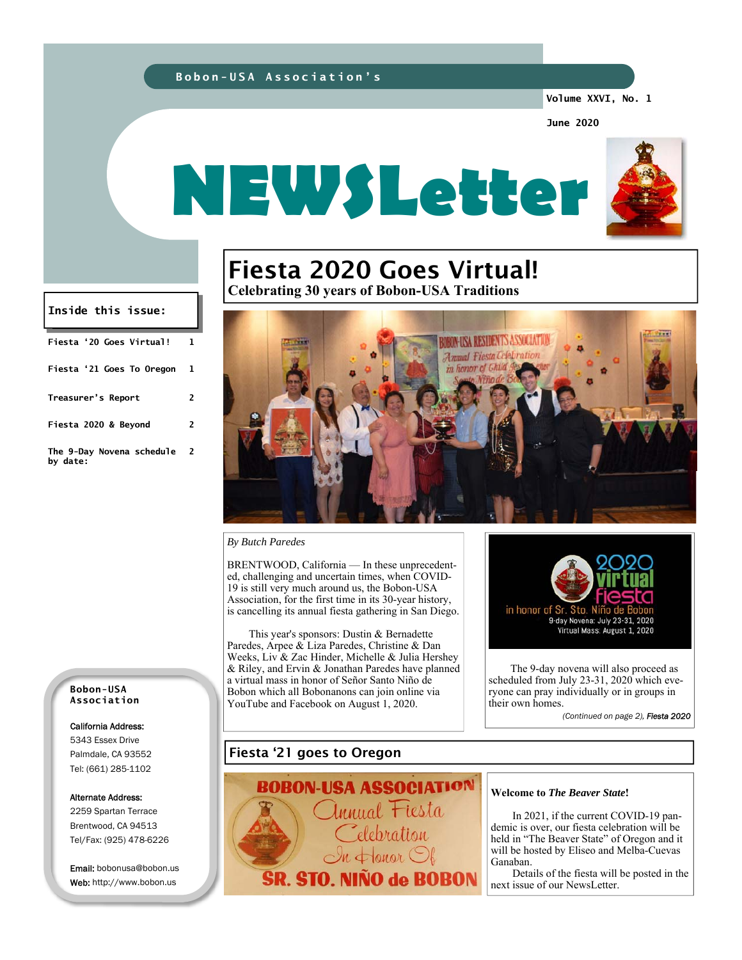#### **Bobon-USA Association's**

**Volume XXVI, No. 1** 

**June 2020** 



# Fiesta 2020 Goes Virtual! **Celebrating 30 years of Bobon-USA Traditions**

SIDENTS ASSOCIATI nal Fiesta Cel in honor of Ghi

#### *By Butch Paredes*

BRENTWOOD, California — In these unprecedented, challenging and uncertain times, when COVID-19 is still very much around us, the Bobon-USA Association, for the first time in its 30-year history, is cancelling its annual fiesta gathering in San Diego.

 This year's sponsors: Dustin & Bernadette Paredes, Arpee & Liza Paredes, Christine & Dan Weeks, Liv & Zac Hinder, Michelle & Julia Hershey & Riley, and Ervin & Jonathan Paredes have planned a virtual mass in honor of Señor Santo Niño de Bobon which all Bobonanons can join online via YouTube and Facebook on August 1, 2020.



 The 9-day novena will also proceed as scheduled from July 23-31, 2020 which everyone can pray individually or in groups in their own homes.

*(Continued on page 2), Fiesta 2020* 

**Bobon-USA Association** 

**Fiesta '20 Goes Virtual! 1** 

**Inside this issue:** 

**Fiesta '21 Goes To Oregon 1** 

**Treasurer's Report 2** 

**Fiesta 2020 & Beyond 2** 

**2** 

**The 9-Day Novena schedule** 

**by date:** 

#### California Address:

5343 Essex Drive Palmdale, CA 93552 Tel: (661) 285-1102

#### Alternate Address:

2259 Spartan Terrace Brentwood, CA 94513 Tel/Fax: (925) 478-6226

Email: bobonusa@bobon.us Web: http://www.bobon.us

### Fiesta '21 goes to Oregon



#### **Welcome to** *The Beaver State***!**

In 2021, if the current COVID-19 pandemic is over, our fiesta celebration will be held in "The Beaver State" of Oregon and it will be hosted by Eliseo and Melba-Cuevas Ganaban.

 Details of the fiesta will be posted in the next issue of our NewsLetter.